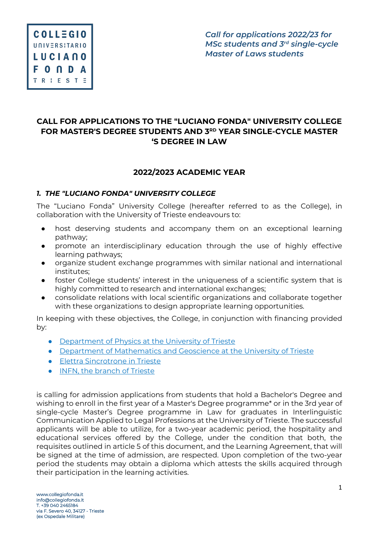# $COLLEGIO$ **UNIVERSITARIO LUCIANO FONDA** TRIESTE

*Call for applications 2022/23 for MSc students and 3rd single-cycle Master of Laws students*

# **CALL FOR APPLICATIONS TO THE "LUCIANO FONDA" UNIVERSITY COLLEGE FOR MASTER'S DEGREE STUDENTS AND 3RD YEAR SINGLE-CYCLE MASTER 'S DEGREE IN LAW**

# **2022/2023 ACADEMIC YEAR**

#### *1. THE "LUCIANO FONDA" UNIVERSITY COLLEGE*

The "Luciano Fonda" University College (hereafter referred to as the College), in collaboration with the University of Trieste endeavours to:

- host deserving students and accompany them on an exceptional learning pathway;
- promote an interdisciplinary education through the use of highly effective learning pathways;
- organize student exchange programmes with similar national and international institutes;
- foster College students' interest in the uniqueness of a scientific system that is highly committed to research and international exchanges;
- consolidate relations with local scientific organizations and collaborate together with these organizations to design appropriate learning opportunities.

In keeping with these objectives, the College, in conjunction with financing provided by:

- Department of Physics at the University of Trieste
- Department of Mathematics and Geoscience at the University of Trieste
- Elettra Sincrotrone in Trieste
- INFN, the branch of Trieste

is calling for admission applications from students that hold a Bachelor's Degree and wishing to enroll in the first year of a Master's Degree programme\* or in the 3rd year of single-cycle Master's Degree programme in Law for graduates in Interlinguistic Communication Applied to Legal Professions at the University of Trieste. The successful applicants will be able to utilize, for a two-year academic period, the hospitality and educational services offered by the College, under the condition that both, the requisites outlined in article 5 of this document, and the Learning Agreement, that will be signed at the time of admission, are respected. Upon completion of the two-year period the students may obtain a diploma which attests the skills acquired through their participation in the learning activities.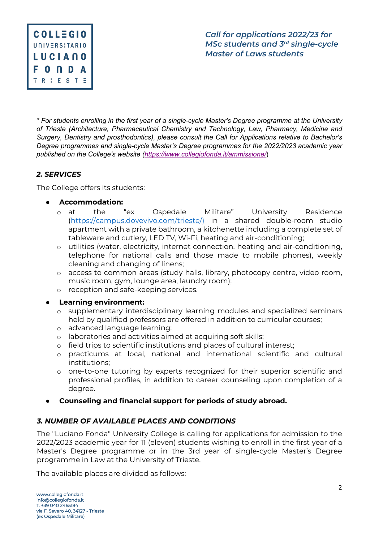

*\* For students enrolling in the first year of a single-cycle Master's Degree programme at the University of Trieste (Architecture, Pharmaceutical Chemistry and Technology, Law, Pharmacy, Medicine and Surgery, Dentistry and prosthodontics), please consult the Call for Applications relative to Bachelor's Degree programmes and single-cycle Master's Degree programmes for the 2022/2023 academic year published on the College's website (https://www.collegiofonda.it/ammissione/*)

# *2. SERVICES*

The College offers its students:

- **Accommodation:**
	- o at the "ex Ospedale Militare" University Residence (https://campus.dovevivo.com/trieste/) in a shared double-room studio apartment with a private bathroom, a kitchenette including a complete set of tableware and cutlery, LED TV, Wi-Fi, heating and air-conditioning;
	- o utilities (water, electricity, internet connection, heating and air-conditioning, telephone for national calls and those made to mobile phones), weekly cleaning and changing of linens;
	- o access to common areas (study halls, library, photocopy centre, video room, music room, gym, lounge area, laundry room);
	- o reception and safe-keeping services.
- **Learning environment:** 
	- o supplementary interdisciplinary learning modules and specialized seminars held by qualified professors are offered in addition to curricular courses;
	- o advanced language learning;
	- o laboratories and activities aimed at acquiring soft skills;
	- o field trips to scientific institutions and places of cultural interest;
	- o practicums at local, national and international scientific and cultural institutions;
	- o one-to-one tutoring by experts recognized for their superior scientific and professional profiles, in addition to career counseling upon completion of a degree.
- **Counseling and financial support for periods of study abroad.**

# *3. NUMBER OF AVAILABLE PLACES AND CONDITIONS*

The "Luciano Fonda" University College is calling for applications for admission to the 2022/2023 academic year for 11 (eleven) students wishing to enroll in the first year of a Master's Degree programme or in the 3rd year of single-cycle Master's Degree programme in Law at the University of Trieste.

The available places are divided as follows: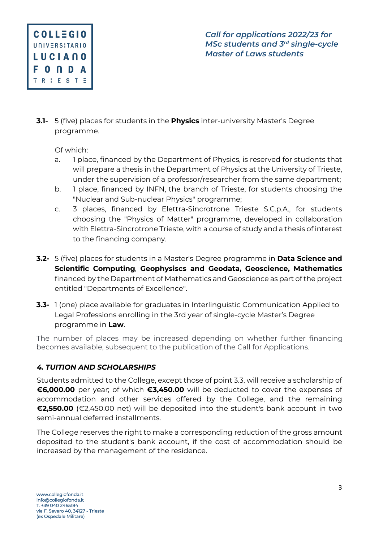

**3.1-** 5 (five) places for students in the **Physics** inter-university Master's Degree programme.

Of which:

- a. 1 place, financed by the Department of Physics, is reserved for students that will prepare a thesis in the Department of Physics at the University of Trieste, under the supervision of a professor/researcher from the same department;
- b. 1 place, financed by INFN, the branch of Trieste, for students choosing the "Nuclear and Sub-nuclear Physics" programme;
- c. 3 places, financed by Elettra-Sincrotrone Trieste S.C.p.A., for students choosing the "Physics of Matter" programme, developed in collaboration with Elettra-Sincrotrone Trieste, with a course of study and a thesis of interest to the financing company.
- **3.2-** 5 (five) places for students in a Master's Degree programme in **Data Science and Scientific Computing**, **Geophysiscs and Geodata, Geoscience, Mathematics** financed by the Department of Mathematics and Geoscience as part of the project entitled "Departments of Excellence".
- **3.3-** 1 (one) place available for graduates in Interlinguistic Communication Applied to Legal Professions enrolling in the 3rd year of single-cycle Master's Degree programme in **Law**.

The number of places may be increased depending on whether further financing becomes available, subsequent to the publication of the Call for Applications.

# *4. TUITION AND SCHOLARSHIPS*

Students admitted to the College, except those of point 3.3, will receive a scholarship of **€6,000.00** per year; of which **€3,450.00** will be deducted to cover the expenses of accommodation and other services offered by the College, and the remaining **€2,550.00** (€2,450.00 net) will be deposited into the student's bank account in two semi-annual deferred installments.

The College reserves the right to make a corresponding reduction of the gross amount deposited to the student's bank account, if the cost of accommodation should be increased by the management of the residence.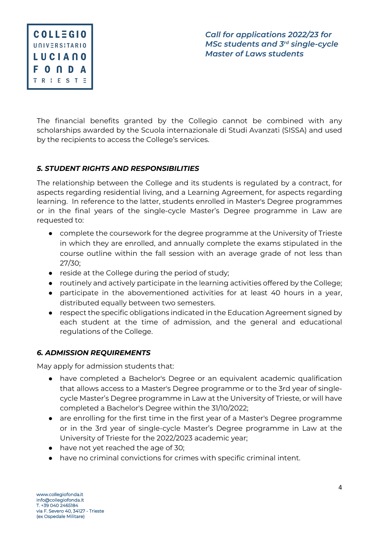

The financial benefits granted by the Collegio cannot be combined with any scholarships awarded by the Scuola internazionale di Studi Avanzati (SISSA) and used by the recipients to access the College's services.

### *5. STUDENT RIGHTS AND RESPONSIBILITIES*

The relationship between the College and its students is regulated by a contract, for aspects regarding residential living, and a Learning Agreement, for aspects regarding learning. In reference to the latter, students enrolled in Master's Degree programmes or in the final years of the single-cycle Master's Degree programme in Law are requested to:

- complete the coursework for the degree programme at the University of Trieste in which they are enrolled, and annually complete the exams stipulated in the course outline within the fall session with an average grade of not less than 27/30;
- reside at the College during the period of study;
- routinely and actively participate in the learning activities offered by the College;
- participate in the abovementioned activities for at least 40 hours in a year, distributed equally between two semesters.
- respect the specific obligations indicated in the Education Agreement signed by each student at the time of admission, and the general and educational regulations of the College.

#### *6. ADMISSION REQUIREMENTS*

May apply for admission students that:

- have completed a Bachelor's Degree or an equivalent academic qualification that allows access to a Master's Degree programme or to the 3rd year of singlecycle Master's Degree programme in Law at the University of Trieste, or will have completed a Bachelor's Degree within the 31/10/2022;
- are enrolling for the first time in the first year of a Master's Degree programme or in the 3rd year of single-cycle Master's Degree programme in Law at the University of Trieste for the 2022/2023 academic year;
- have not yet reached the age of 30;
- have no criminal convictions for crimes with specific criminal intent.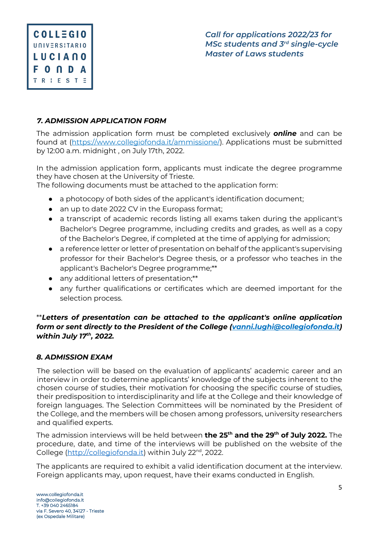

## *7. ADMISSION APPLICATION FORM*

The admission application form must be completed exclusively *online* and can be found at (https://www.collegiofonda.it/ammissione/). Applications must be submitted by 12:00 a.m. midnight , on July 17th, 2022.

In the admission application form, applicants must indicate the degree programme they have chosen at the University of Trieste.

The following documents must be attached to the application form:

- a photocopy of both sides of the applicant's identification document;
- an up to date 2022 CV in the Europass format;
- a transcript of academic records listing all exams taken during the applicant's Bachelor's Degree programme, including credits and grades, as well as a copy of the Bachelor's Degree, if completed at the time of applying for admission;
- a reference letter or letter of presentation on behalf of the applicant's supervising professor for their Bachelor's Degree thesis, or a professor who teaches in the applicant's Bachelor's Degree programme;\*\*
- any additional letters of presentation;\*\*
- any further qualifications or certificates which are deemed important for the selection process.

### \*\**Letters of presentation can be attached to the applicant's online application form or sent directly to the President of the College (vanni.lughi@collegiofonda.it) within July 17th, 2022.*

#### *8. ADMISSION EXAM*

The selection will be based on the evaluation of applicants' academic career and an interview in order to determine applicants' knowledge of the subjects inherent to the chosen course of studies, their motivation for choosing the specific course of studies, their predisposition to interdisciplinarity and life at the College and their knowledge of foreign languages. The Selection Committees will be nominated by the President of the College, and the members will be chosen among professors, university researchers and qualified experts.

The admission interviews will be held between **the 25th and the 29th of July 2022.** The procedure, date, and time of the interviews will be published on the website of the College (http://collegiofonda.it) within July 22<sup>nd</sup>, 2022.

The applicants are required to exhibit a valid identification document at the interview. Foreign applicants may, upon request, have their exams conducted in English.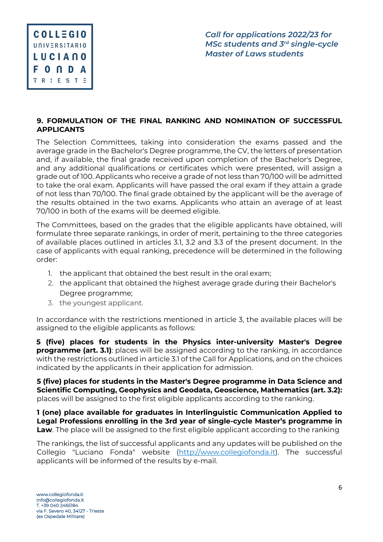

### **9. FORMULATION OF THE FINAL RANKING AND NOMINATION OF SUCCESSFUL APPLICANTS**

The Selection Committees, taking into consideration the exams passed and the average grade in the Bachelor's Degree programme, the CV, the letters of presentation and, if available, the final grade received upon completion of the Bachelor's Degree, and any additional qualifications or certificates which were presented, will assign a grade out of 100. Applicants who receive a grade of not less than 70/100 will be admitted to take the oral exam. Applicants will have passed the oral exam if they attain a grade of not less than 70/100. The final grade obtained by the applicant will be the average of the results obtained in the two exams. Applicants who attain an average of at least 70/100 in both of the exams will be deemed eligible.

The Committees, based on the grades that the eligible applicants have obtained, will formulate three separate rankings, in order of merit, pertaining to the three categories of available places outlined in articles 3.1, 3.2 and 3.3 of the present document. In the case of applicants with equal ranking, precedence will be determined in the following order:

- 1. the applicant that obtained the best result in the oral exam;
- 2. the applicant that obtained the highest average grade during their Bachelor's Degree programme;
- 3. the youngest applicant.

In accordance with the restrictions mentioned in article 3, the available places will be assigned to the eligible applicants as follows:

**5 (five) places for students in the Physics inter-university Master's Degree programme (art. 3.1)**: places will be assigned according to the ranking, in accordance with the restrictions outlined in article 3.1 of the Call for Applications, and on the choices indicated by the applicants in their application for admission.

**5 (five) places for students in the Master's Degree programme in Data Science and Scientific Computing, Geophysics and Geodata, Geoscience, Mathematics (art. 3.2):**  places will be assigned to the first eligible applicants according to the ranking.

**1 (one) place available for graduates in Interlinguistic Communication Applied to Legal Professions enrolling in the 3rd year of single-cycle Master's programme in Law**. The place will be assigned to the first eligible applicant according to the ranking

The rankings, the list of successful applicants and any updates will be published on the Collegio "Luciano Fonda" website (http://www.collegiofonda.it). The successful applicants will be informed of the results by e-mail.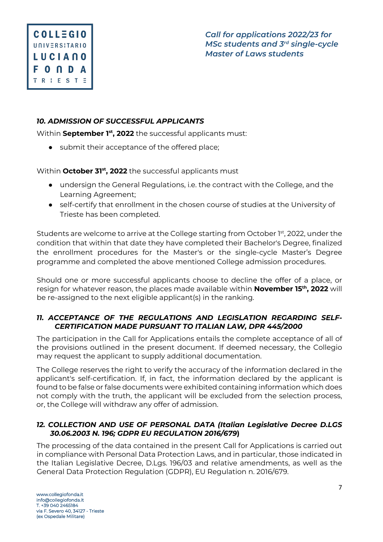# *10. ADMISSION OF SUCCESSFUL APPLICANTS*

Within **September 1st, 2022** the successful applicants must:

● submit their acceptance of the offered place;

Within **October 31st, 2022** the successful applicants must

- undersign the General Regulations, i.e. the contract with the College, and the Learning Agreement;
- self-certify that enrollment in the chosen course of studies at the University of Trieste has been completed.

Students are welcome to arrive at the College starting from October 1<sup>st</sup>, 2022, under the condition that within that date they have completed their Bachelor's Degree, finalized the enrollment procedures for the Master's or the single-cycle Master's Degree programme and completed the above mentioned College admission procedures.

Should one or more successful applicants choose to decline the offer of a place, or resign for whatever reason, the places made available within **November 15th, 2022** will be re-assigned to the next eligible applicant(s) in the ranking.

### *11. ACCEPTANCE OF THE REGULATIONS AND LEGISLATION REGARDING SELF-CERTIFICATION MADE PURSUANT TO ITALIAN LAW, DPR 445/2000*

The participation in the Call for Applications entails the complete acceptance of all of the provisions outlined in the present document. If deemed necessary, the Collegio may request the applicant to supply additional documentation.

The College reserves the right to verify the accuracy of the information declared in the applicant's self-certification. If, in fact, the information declared by the applicant is found to be false or false documents were exhibited containing information which does not comply with the truth, the applicant will be excluded from the selection process, or, the College will withdraw any offer of admission.

### *12. COLLECTION AND USE OF PERSONAL DATA (Italian Legislative Decree D.LGS 30.06.2003 N. 196; GDPR EU REGULATION 2016/679***)**

The processing of the data contained in the present Call for Applications is carried out in compliance with Personal Data Protection Laws, and in particular, those indicated in the Italian Legislative Decree, D.Lgs. 196/03 and relative amendments, as well as the General Data Protection Regulation (GDPR), EU Regulation n. 2016/679.